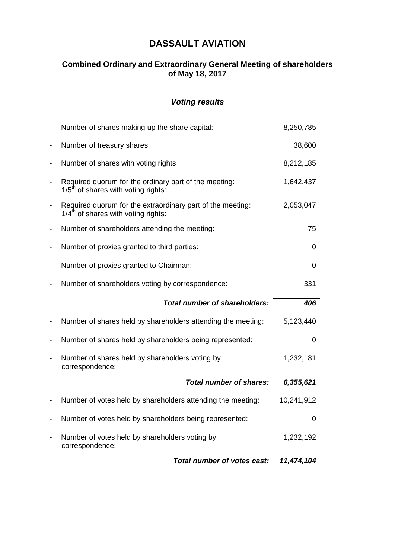# **DASSAULT AVIATION**

## **Combined Ordinary and Extraordinary General Meeting of shareholders of May 18, 2017**

## *Voting results*

|                              | Total number of votes cast:                                                                                | 11,474,104 |
|------------------------------|------------------------------------------------------------------------------------------------------------|------------|
| $\overline{\phantom{a}}$     | Number of votes held by shareholders voting by<br>correspondence:                                          | 1,232,192  |
| -                            | Number of votes held by shareholders being represented:                                                    | 0          |
| -                            | Number of votes held by shareholders attending the meeting:                                                | 10,241,912 |
|                              | <b>Total number of shares:</b>                                                                             | 6,355,621  |
| $\qquad \qquad \blacksquare$ | Number of shares held by shareholders voting by<br>correspondence:                                         | 1,232,181  |
| -                            | Number of shares held by shareholders being represented:                                                   | 0          |
| -                            | Number of shares held by shareholders attending the meeting:                                               | 5,123,440  |
|                              | <b>Total number of shareholders:</b>                                                                       | 406        |
|                              | Number of shareholders voting by correspondence:                                                           | 331        |
| -                            | Number of proxies granted to Chairman:                                                                     | 0          |
| -                            | Number of proxies granted to third parties:                                                                | 0          |
| -                            | Number of shareholders attending the meeting:                                                              | 75         |
|                              | $1/4th$ of shares with voting rights:                                                                      |            |
| $\overline{\phantom{0}}$     | Required quorum for the extraordinary part of the meeting:                                                 | 2,053,047  |
| $\qquad \qquad \blacksquare$ | Required quorum for the ordinary part of the meeting:<br>$1/5$ <sup>th</sup> of shares with voting rights: | 1,642,437  |
| $\overline{\phantom{0}}$     | Number of shares with voting rights :                                                                      | 8,212,185  |
| -                            | Number of treasury shares:                                                                                 | 38,600     |
|                              | Number of shares making up the share capital:                                                              | 8,250,785  |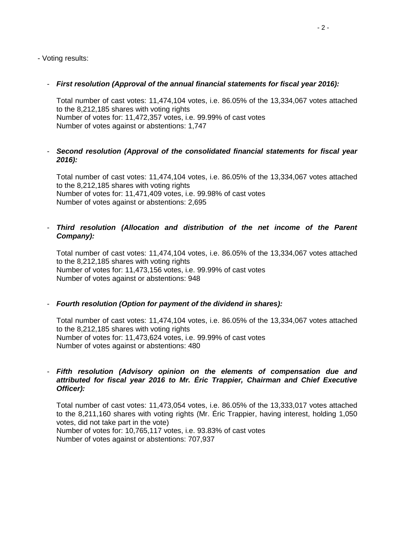- Voting results:

## - *First resolution (Approval of the annual financial statements for fiscal year 2016):*

Total number of cast votes: 11,474,104 votes, i.e. 86.05% of the 13,334,067 votes attached to the 8,212,185 shares with voting rights Number of votes for: 11,472,357 votes, i.e. 99.99% of cast votes Number of votes against or abstentions: 1,747

## - *Second resolution (Approval of the consolidated financial statements for fiscal year 2016):*

Total number of cast votes: 11,474,104 votes, i.e. 86.05% of the 13,334,067 votes attached to the 8,212,185 shares with voting rights Number of votes for: 11,471,409 votes, i.e. 99.98% of cast votes Number of votes against or abstentions: 2,695

## - *Third resolution (Allocation and distribution of the net income of the Parent Company):*

Total number of cast votes: 11,474,104 votes, i.e. 86.05% of the 13,334,067 votes attached to the 8,212,185 shares with voting rights Number of votes for: 11,473,156 votes, i.e. 99.99% of cast votes Number of votes against or abstentions: 948

## - *Fourth resolution (Option for payment of the dividend in shares):*

Total number of cast votes: 11,474,104 votes, i.e. 86.05% of the 13,334,067 votes attached to the 8,212,185 shares with voting rights Number of votes for: 11,473,624 votes, i.e. 99.99% of cast votes Number of votes against or abstentions: 480

#### - *Fifth resolution (Advisory opinion on the elements of compensation due and attributed for fiscal year 2016 to Mr. Éric Trappier, Chairman and Chief Executive Officer):*

Total number of cast votes: 11,473,054 votes, i.e. 86.05% of the 13,333,017 votes attached to the 8,211,160 shares with voting rights (Mr. Éric Trappier, having interest, holding 1,050 votes, did not take part in the vote)

Number of votes for: 10,765,117 votes, i.e. 93.83% of cast votes Number of votes against or abstentions: 707,937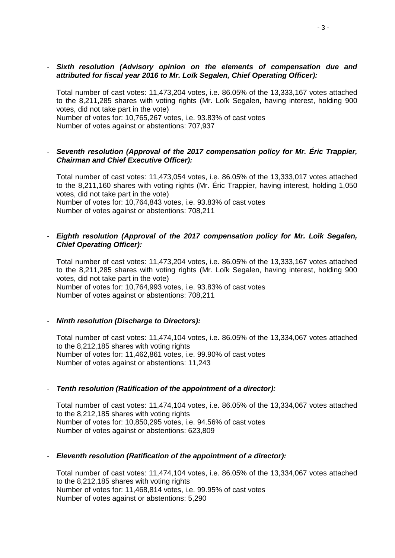- *Sixth resolution (Advisory opinion on the elements of compensation due and attributed for fiscal year 2016 to Mr. Loïk Segalen, Chief Operating Officer):*

Total number of cast votes: 11,473,204 votes, i.e. 86.05% of the 13,333,167 votes attached to the 8,211,285 shares with voting rights (Mr. Loïk Segalen, having interest, holding 900 votes, did not take part in the vote) Number of votes for: 10,765,267 votes, i.e. 93.83% of cast votes Number of votes against or abstentions: 707,937

#### - *Seventh resolution (Approval of the 2017 compensation policy for Mr. Éric Trappier, Chairman and Chief Executive Officer):*

Total number of cast votes: 11,473,054 votes, i.e. 86.05% of the 13,333,017 votes attached to the 8,211,160 shares with voting rights (Mr. Éric Trappier, having interest, holding 1,050 votes, did not take part in the vote) Number of votes for: 10,764,843 votes, i.e. 93.83% of cast votes Number of votes against or abstentions: 708,211

#### - *Eighth resolution (Approval of the 2017 compensation policy for Mr. Loïk Segalen, Chief Operating Officer):*

Total number of cast votes: 11,473,204 votes, i.e. 86.05% of the 13,333,167 votes attached to the 8,211,285 shares with voting rights (Mr. Loïk Segalen, having interest, holding 900 votes, did not take part in the vote) Number of votes for: 10,764,993 votes, i.e. 93.83% of cast votes Number of votes against or abstentions: 708,211

#### - *Ninth resolution (Discharge to Directors):*

Total number of cast votes: 11,474,104 votes, i.e. 86.05% of the 13,334,067 votes attached to the 8,212,185 shares with voting rights Number of votes for: 11,462,861 votes, i.e. 99.90% of cast votes Number of votes against or abstentions: 11,243

#### - *Tenth resolution (Ratification of the appointment of a director):*

Total number of cast votes: 11,474,104 votes, i.e. 86.05% of the 13,334,067 votes attached to the 8,212,185 shares with voting rights Number of votes for: 10,850,295 votes, i.e. 94.56% of cast votes Number of votes against or abstentions: 623,809

#### - *Eleventh resolution (Ratification of the appointment of a director):*

Total number of cast votes: 11,474,104 votes, i.e. 86.05% of the 13,334,067 votes attached to the 8,212,185 shares with voting rights Number of votes for: 11,468,814 votes, i.e. 99.95% of cast votes Number of votes against or abstentions: 5,290